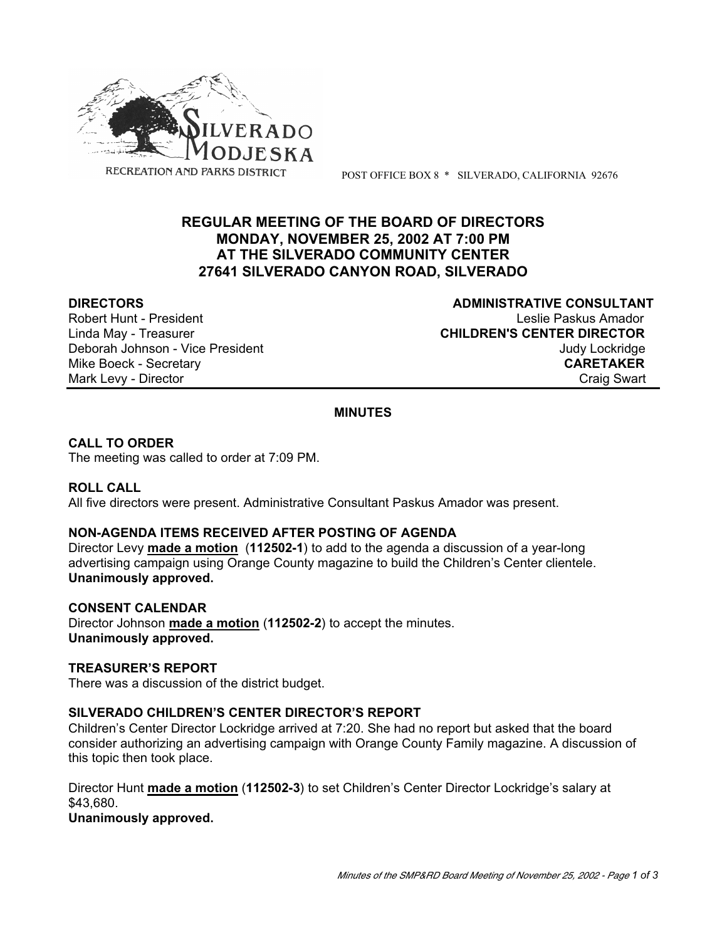

POST OFFICE BOX 8 \* SILVERADO, CALIFORNIA 92676

# **REGULAR MEETING OF THE BOARD OF DIRECTORS MONDAY, NOVEMBER 25, 2002 AT 7:00 PM AT THE SILVERADO COMMUNITY CENTER 27641 SILVERADO CANYON ROAD, SILVERADO**

**DIRECTORS ADMINISTRATIVE CONSULTANT** Robert Hunt - President Leslie Paskus Amador<br>Leslie Paskus Amador<br>CHILDREN'S CENTER DIRECTOR **CHILDREN'S CENTER DIRECTOR** Deborah Johnson - Vice President Judy Lockridge Judy Lockridge Judy Lockridge Mike Boeck - Secretary **CARETAKER** Mark Levy - Director **Craig Swart** 

#### **MINUTES**

#### **CALL TO ORDER**

The meeting was called to order at 7:09 PM.

#### **ROLL CALL**

All five directors were present. Administrative Consultant Paskus Amador was present.

#### **NON-AGENDA ITEMS RECEIVED AFTER POSTING OF AGENDA**

Director Levy **made a motion** (**112502-1**) to add to the agenda a discussion of a year-long advertising campaign using Orange County magazine to build the Children's Center clientele. **Unanimously approved.**

#### **CONSENT CALENDAR**

Director Johnson **made a motion** (**112502-2**) to accept the minutes. **Unanimously approved.**

#### **TREASURER'S REPORT**

There was a discussion of the district budget.

#### **SILVERADO CHILDREN'S CENTER DIRECTOR'S REPORT**

Children's Center Director Lockridge arrived at 7:20. She had no report but asked that the board consider authorizing an advertising campaign with Orange County Family magazine. A discussion of this topic then took place.

Director Hunt **made a motion** (**112502-3**) to set Children's Center Director Lockridge's salary at \$43,680.

**Unanimously approved.**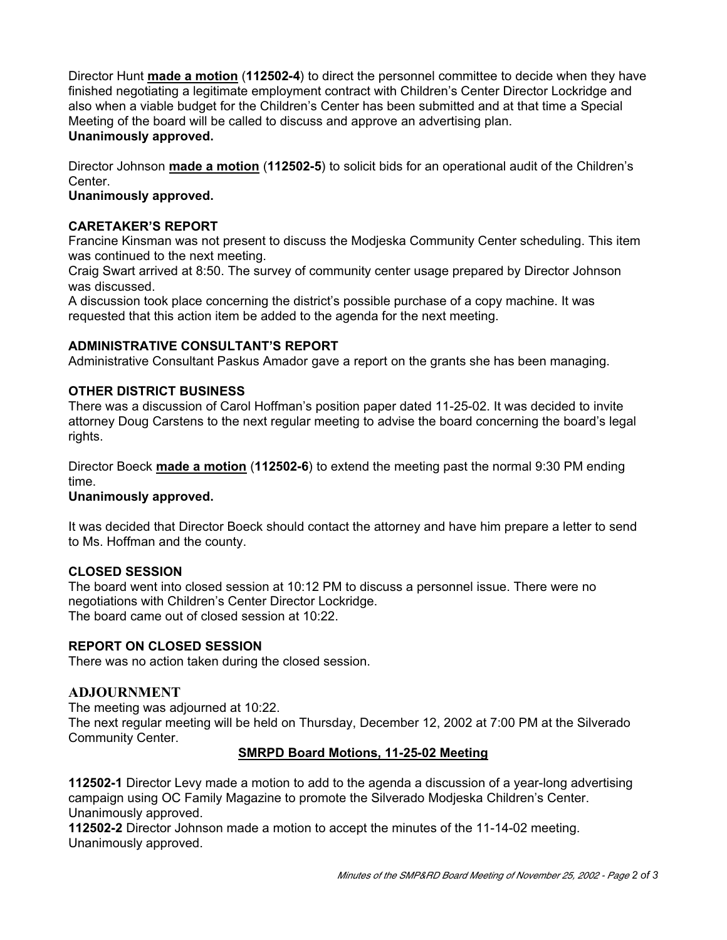Director Hunt **made a motion** (**112502-4**) to direct the personnel committee to decide when they have finished negotiating a legitimate employment contract with Children's Center Director Lockridge and also when a viable budget for the Children's Center has been submitted and at that time a Special Meeting of the board will be called to discuss and approve an advertising plan. **Unanimously approved.**

Director Johnson **made a motion** (**112502-5**) to solicit bids for an operational audit of the Children's Center.

## **Unanimously approved.**

## **CARETAKER'S REPORT**

Francine Kinsman was not present to discuss the Modjeska Community Center scheduling. This item was continued to the next meeting.

Craig Swart arrived at 8:50. The survey of community center usage prepared by Director Johnson was discussed.

A discussion took place concerning the district's possible purchase of a copy machine. It was requested that this action item be added to the agenda for the next meeting.

## **ADMINISTRATIVE CONSULTANT'S REPORT**

Administrative Consultant Paskus Amador gave a report on the grants she has been managing.

## **OTHER DISTRICT BUSINESS**

There was a discussion of Carol Hoffman's position paper dated 11-25-02. It was decided to invite attorney Doug Carstens to the next regular meeting to advise the board concerning the board's legal rights.

Director Boeck **made a motion** (**112502-6**) to extend the meeting past the normal 9:30 PM ending time.

## **Unanimously approved.**

It was decided that Director Boeck should contact the attorney and have him prepare a letter to send to Ms. Hoffman and the county.

## **CLOSED SESSION**

The board went into closed session at 10:12 PM to discuss a personnel issue. There were no negotiations with Children's Center Director Lockridge. The board came out of closed session at 10:22.

## **REPORT ON CLOSED SESSION**

There was no action taken during the closed session.

# **ADJOURNMENT**

The meeting was adjourned at 10:22.

The next regular meeting will be held on Thursday, December 12, 2002 at 7:00 PM at the Silverado Community Center.

## **SMRPD Board Motions, 11-25-02 Meeting**

**112502-1** Director Levy made a motion to add to the agenda a discussion of a year-long advertising campaign using OC Family Magazine to promote the Silverado Modjeska Children's Center. Unanimously approved.

**112502-2** Director Johnson made a motion to accept the minutes of the 11-14-02 meeting. Unanimously approved.